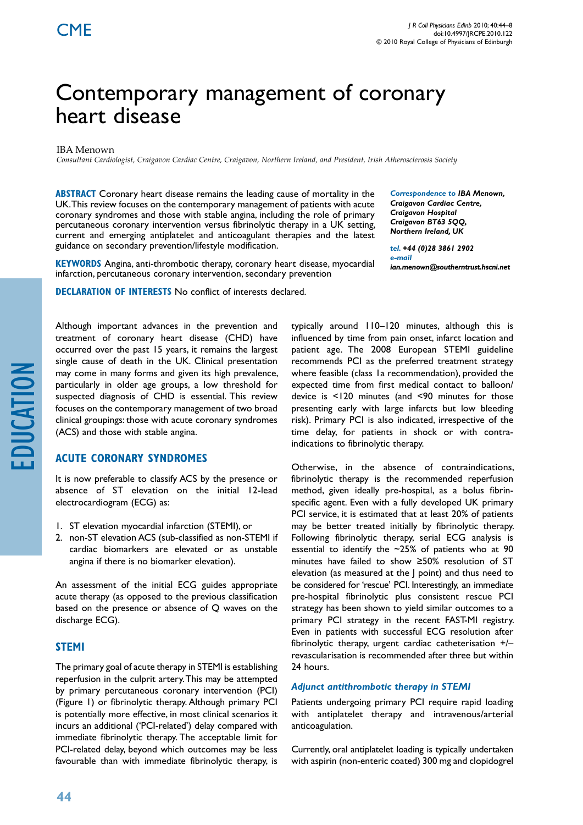# Contemporary management of coronary heart disease

#### IBA Menown

*Consultant Cardiologist, Craigavon Cardiac Centre, Craigavon, Northern Ireland, and President, Irish Atherosclerosis Society*

**ABSTRACT** Coronary heart disease remains the leading cause of mortality in the UK. This review focuses on the contemporary management of patients with acute coronary syndromes and those with stable angina, including the role of primary percutaneous coronary intervention versus fibrinolytic therapy in a UK setting, current and emerging antiplatelet and anticoagulant therapies and the latest guidance on secondary prevention/lifestyle modification.

**Keywords** Angina, anti-thrombotic therapy, coronary heart disease, myocardial infarction, percutaneous coronary intervention, secondary prevention

**Declaration of Interests** No conflict of interests declared.

*Correspondence to IBA Menown, Craigavon Cardiac Centre, Craigavon Hospital Craigavon BT63 5QQ, Northern Ireland, UK*

*tel. +44 (0)28 3861 2902 e-mail ian.menown@southerntrust.hscni.net*

Although important advances in the prevention and treatment of coronary heart disease (CHD) have occurred over the past 15 years, it remains the largest single cause of death in the UK. Clinical presentation may come in many forms and given its high prevalence, particularly in older age groups, a low threshold for suspected diagnosis of CHD is essential. This review focuses on the contemporary management of two broad clinical groupings: those with acute coronary syndromes (ACS) and those with stable angina.

## **Acute coronary syndromes**

It is now preferable to classify ACS by the presence or absence of ST elevation on the initial 12-lead electrocardiogram (ECG) as:

- 1. ST elevation myocardial infarction (STEMI), or
- 2. non-ST elevation ACS (sub-classified as non-STEMI if cardiac biomarkers are elevated or as unstable angina if there is no biomarker elevation).

An assessment of the initial ECG guides appropriate acute therapy (as opposed to the previous classification based on the presence or absence of Q waves on the discharge ECG).

## **STEMI**

education

The primary goal of acute therapy in STEMI is establishing reperfusion in the culprit artery. This may be attempted by primary percutaneous coronary intervention (PCI) (Figure 1) or fibrinolytic therapy. Although primary PCI is potentially more effective, in most clinical scenarios it incurs an additional ('PCI-related') delay compared with immediate fibrinolytic therapy. The acceptable limit for PCI-related delay, beyond which outcomes may be less favourable than with immediate fibrinolytic therapy, is

typically around 110–120 minutes, although this is influenced by time from pain onset, infarct location and patient age. The 2008 European STEMI guideline recommends PCI as the preferred treatment strategy where feasible (class 1a recommendation), provided the expected time from first medical contact to balloon/ device is <120 minutes (and <90 minutes for those presenting early with large infarcts but low bleeding risk). Primary PCI is also indicated, irrespective of the time delay, for patients in shock or with contraindications to fibrinolytic therapy.

Otherwise, in the absence of contraindications, fibrinolytic therapy is the recommended reperfusion method, given ideally pre-hospital, as a bolus fibrinspecific agent. Even with a fully developed UK primary PCI service, it is estimated that at least 20% of patients may be better treated initially by fibrinolytic therapy. Following fibrinolytic therapy, serial ECG analysis is essential to identify the  $\sim$ 25% of patients who at 90 minutes have failed to show ≥50% resolution of ST elevation (as measured at the J point) and thus need to be considered for 'rescue' PCI. Interestingly, an immediate pre-hospital fibrinolytic plus consistent rescue PCI strategy has been shown to yield similar outcomes to a primary PCI strategy in the recent FAST-MI registry. Even in patients with successful ECG resolution after fibrinolytic therapy, urgent cardiac catheterisation  $+/$ revascularisation is recommended after three but within 24 hours.

#### *Adjunct antithrombotic therapy in STEMI*

Patients undergoing primary PCI require rapid loading with antiplatelet therapy and intravenous/arterial anticoagulation.

Currently, oral antiplatelet loading is typically undertaken with aspirin (non-enteric coated) 300 mg and clopidogrel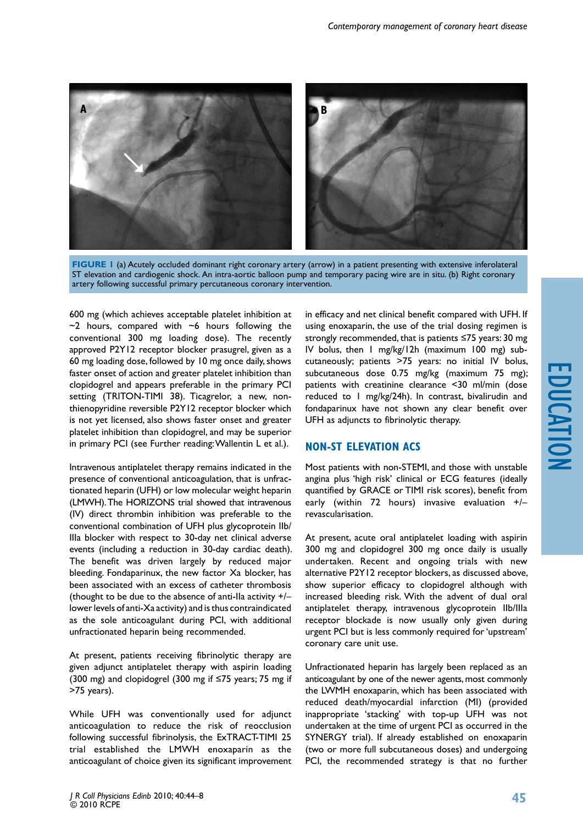

**FIGURE 1** (a) Acutely occluded dominant right coronary artery (arrow) in a patient presenting with extensive inferolateral ST elevation and cardiogenic shock. An intra-aortic balloon pump and temporary pacing wire are in situ. (b) Right coronary artery following successful primary percutaneous coronary intervention.

600 mg (which achieves acceptable platelet inhibition at  $\sim$ 2 hours, compared with  $\sim$ 6 hours following the conventional 300 mg loading dose). The recently approved P2Y12 receptor blocker prasugrel, given as a 60 mg loading dose, followed by 10 mg once daily, shows faster onset of action and greater platelet inhibition than clopidogrel and appears preferable in the primary PCI setting (TRITON-TIMI 38). Ticagrelor, a new, nonthienopyridine reversible P2Y12 receptor blocker which is not yet licensed, also shows faster onset and greater platelet inhibition than clopidogrel, and may be superior in primary PCI (see Further reading: Wallentin L et al.).

Intravenous antiplatelet therapy remains indicated in the presence of conventional anticoagulation, that is unfractionated heparin (UFH) or low molecular weight heparin (LMWH). The HORIZONS trial showed that intravenous (IV) direct thrombin inhibition was preferable to the conventional combination of UFH plus glycoprotein IIb/ Illa blocker with respect to 30-day net clinical adverse events (including a reduction in 30-day cardiac death). The benefit was driven largely by reduced major bleeding. Fondaparinux, the new factor Xa blocker, has been associated with an excess of catheter thrombosis (thought to be due to the absence of anti-Ila activity  $+/$ lower levels of anti-Xa activity) and is thus contraindicated as the sole anticoagulant during PCI, with additional unfractionated heparin being recommended.

At present, patients receiving fibrinolytic therapy are given adjunct antiplatelet therapy with aspirin loading (300 mg) and clopidogrel (300 mg if ≤75 years; 75 mg if >75 years).

While UFH was conventionally used for adjunct anticoagulation to reduce the risk of reocclusion following successful fibrinolysis, the ExTRACT-TIMI 25 trial established the LMWH enoxaparin as the anticoagulant of choice given its significant improvement in efficacy and net clinical benefit compared with UFH. If using enoxaparin, the use of the trial dosing regimen is strongly recommended, that is patients ≤75 years: 30 mg IV bolus, then 1 mg/kg/12h (maximum 100 mg) subcutaneously; patients >75 years: no initial IV bolus, subcutaneous dose 0.75 mg/kg (maximum 75 mg); patients with creatinine clearance <30 ml/min (dose reduced to 1 mg/kg/24h). In contrast, bivalirudin and fondaparinux have not shown any clear benefit over UFH as adjuncts to fibrinolytic therapy.

## **Non-ST elevation ACS**

Most patients with non-STEMI, and those with unstable angina plus 'high risk' clinical or ECG features (ideally quantified by GRACE or TIMI risk scores), benefit from early (within 72 hours) invasive evaluation  $+/$ revascularisation.

At present, acute oral antiplatelet loading with aspirin 300 mg and clopidogrel 300 mg once daily is usually undertaken. Recent and ongoing trials with new alternative P2Y12 receptor blockers, as discussed above, show superior efficacy to clopidogrel although with increased bleeding risk. With the advent of dual oral antiplatelet therapy, intravenous glycoprotein IIb/IIIa receptor blockade is now usually only given during urgent PCI but is less commonly required for 'upstream' coronary care unit use.

Unfractionated heparin has largely been replaced as an anticoagulant by one of the newer agents, most commonly the LWMH enoxaparin, which has been associated with reduced death/myocardial infarction (MI) (provided inappropriate 'stacking' with top-up UFH was not undertaken at the time of urgent PCI as occurred in the SYNERGY trial). If already established on enoxaparin (two or more full subcutaneous doses) and undergoing PCI, the recommended strategy is that no further

education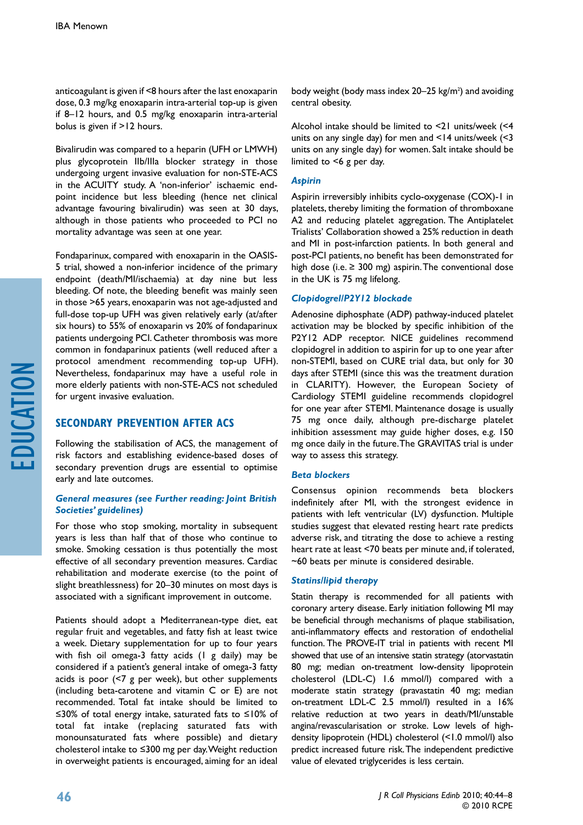anticoagulant is given if <8 hours after the last enoxaparin dose, 0.3 mg/kg enoxaparin intra-arterial top-up is given if 8–12 hours, and 0.5 mg/kg enoxaparin intra-arterial bolus is given if >12 hours.

Bivalirudin was compared to a heparin (UFH or LMWH) plus glycoprotein IIb/IIIa blocker strategy in those undergoing urgent invasive evaluation for non-STE-ACS in the ACUITY study. A 'non-inferior' ischaemic endpoint incidence but less bleeding (hence net clinical advantage favouring bivalirudin) was seen at 30 days, although in those patients who proceeded to PCI no mortality advantage was seen at one year.

Fondaparinux, compared with enoxaparin in the OASIS-5 trial, showed a non-inferior incidence of the primary endpoint (death/MI/ischaemia) at day nine but less bleeding. Of note, the bleeding benefit was mainly seen in those >65 years, enoxaparin was not age-adjusted and full-dose top-up UFH was given relatively early (at/after six hours) to 55% of enoxaparin vs 20% of fondaparinux patients undergoing PCI. Catheter thrombosis was more common in fondaparinux patients (well reduced after a protocol amendment recommending top-up UFH). Nevertheless, fondaparinux may have a useful role in more elderly patients with non-STE-ACS not scheduled for urgent invasive evaluation.

# **Secondary prevention after ACS**

Following the stabilisation of ACS, the management of risk factors and establishing evidence-based doses of secondary prevention drugs are essential to optimise early and late outcomes.

#### *General measures (see Further reading: Joint British Societies' guidelines)*

For those who stop smoking, mortality in subsequent years is less than half that of those who continue to smoke. Smoking cessation is thus potentially the most effective of all secondary prevention measures. Cardiac rehabilitation and moderate exercise (to the point of slight breathlessness) for 20–30 minutes on most days is associated with a significant improvement in outcome.

Patients should adopt a Mediterranean-type diet, eat regular fruit and vegetables, and fatty fish at least twice a week. Dietary supplementation for up to four years with fish oil omega-3 fatty acids (1 g daily) may be considered if a patient's general intake of omega-3 fatty acids is poor (<7 g per week), but other supplements (including beta-carotene and vitamin C or E) are not recommended. Total fat intake should be limited to ≤30% of total energy intake, saturated fats to ≤10% of total fat intake (replacing saturated fats with monounsaturated fats where possible) and dietary cholesterol intake to ≤300 mg per day. Weight reduction in overweight patients is encouraged, aiming for an ideal

body weight (body mass index 20–25 kg/m<sup>2</sup>) and avoiding central obesity.

Alcohol intake should be limited to <21 units/week (<4 units on any single day) for men and <14 units/week (<3 units on any single day) for women. Salt intake should be limited to <6 g per day.

# *Aspirin*

Aspirin irreversibly inhibits cyclo-oxygenase (COX)-1 in platelets, thereby limiting the formation of thromboxane A2 and reducing platelet aggregation. The Antiplatelet Trialists' Collaboration showed a 25% reduction in death and MI in post-infarction patients. In both general and post-PCI patients, no benefit has been demonstrated for high dose (i.e.  $\geq$  300 mg) aspirin. The conventional dose in the UK is 75 mg lifelong.

#### *Clopidogrel/P2Y12 blockade*

Adenosine diphosphate (ADP) pathway-induced platelet activation may be blocked by specific inhibition of the P2Y12 ADP receptor. NICE guidelines recommend clopidogrel in addition to aspirin for up to one year after non-STEMI, based on CURE trial data, but only for 30 days after STEMI (since this was the treatment duration in CLARITY). However, the European Society of Cardiology STEMI guideline recommends clopidogrel for one year after STEMI. Maintenance dosage is usually 75 mg once daily, although pre-discharge platelet inhibition assessment may guide higher doses, e.g. 150 mg once daily in the future. The GRAVITAS trial is under way to assess this strategy.

## *Beta blockers*

Consensus opinion recommends beta blockers indefinitely after MI, with the strongest evidence in patients with left ventricular (LV) dysfunction. Multiple studies suggest that elevated resting heart rate predicts adverse risk, and titrating the dose to achieve a resting heart rate at least <70 beats per minute and, if tolerated, ~60 beats per minute is considered desirable.

## *Statins/lipid therapy*

Statin therapy is recommended for all patients with coronary artery disease. Early initiation following MI may be beneficial through mechanisms of plaque stabilisation, anti-inflammatory effects and restoration of endothelial function. The PROVE-IT trial in patients with recent MI showed that use of an intensive statin strategy (atorvastatin 80 mg; median on-treatment low-density lipoprotein cholesterol (LDL-C) 1.6 mmol/l) compared with a moderate statin strategy (pravastatin 40 mg; median on-treatment LDL-C 2.5 mmol/l) resulted in a 16% relative reduction at two years in death/MI/unstable angina/revascularisation or stroke. Low levels of highdensity lipoprotein (HDL) cholesterol (<1.0 mmol/l) also predict increased future risk. The independent predictive value of elevated triglycerides is less certain.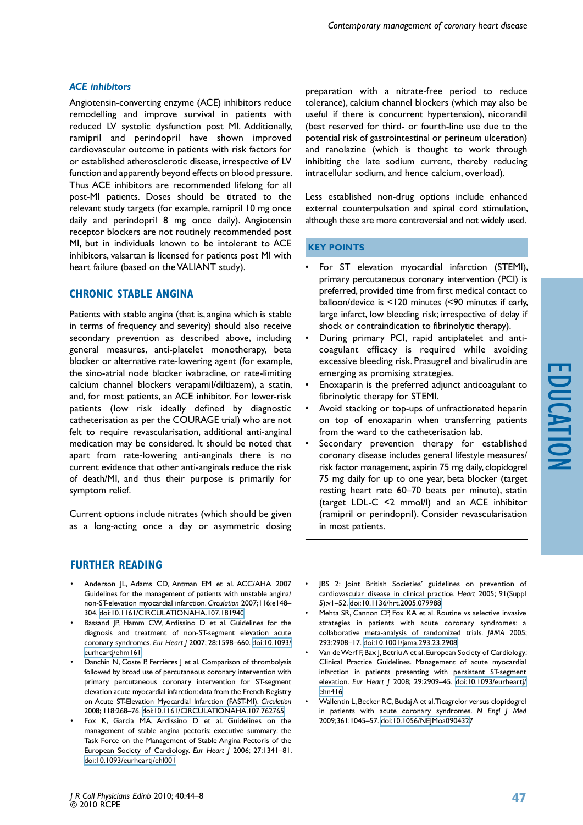#### *ACE inhibitors*

Angiotensin-converting enzyme (ACE) inhibitors reduce remodelling and improve survival in patients with reduced LV systolic dysfunction post MI. Additionally, ramipril and perindopril have shown improved cardiovascular outcome in patients with risk factors for or established atherosclerotic disease, irrespective of LV function and apparently beyond effects on blood pressure. Thus ACE inhibitors are recommended lifelong for all post-MI patients. Doses should be titrated to the relevant study targets (for example, ramipril 10 mg once daily and perindopril 8 mg once daily). Angiotensin receptor blockers are not routinely recommended post MI, but in individuals known to be intolerant to ACE inhibitors, valsartan is licensed for patients post MI with heart failure (based on the VALIANT study).

# **Chronic stable angina**

Patients with stable angina (that is, angina which is stable in terms of frequency and severity) should also receive secondary prevention as described above, including general measures, anti-platelet monotherapy, beta blocker or alternative rate-lowering agent (for example, the sino-atrial node blocker ivabradine, or rate-limiting calcium channel blockers verapamil/diltiazem), a statin, and, for most patients, an ACE inhibitor. For lower-risk patients (low risk ideally defined by diagnostic catheterisation as per the COURAGE trial) who are not felt to require revascularisation, additional anti-anginal medication may be considered. It should be noted that apart from rate-lowering anti-anginals there is no current evidence that other anti-anginals reduce the risk of death/MI, and thus their purpose is primarily for symptom relief.

Current options include nitrates (which should be given as a long-acting once a day or asymmetric dosing

## **further reading**

- Anderson JL, Adams CD, Antman EM et al. ACC/AHA 2007 Guidelines for the management of patients with unstable angina/ non-ST-elevation myocardial infarction. *Circulation* 2007;116:e148– 304. [doi:10.1161/CIRCULATIONAHA.107.181940](http://dx.doi.org/10.1161/CIRCULATIONAHA.107.181940)
- Bassand JP, Hamm CW, Ardissino D et al. Guidelines for the diagnosis and treatment of non-ST-segment elevation acute coronary syndromes. *Eur Heart J* 2007; 28:1598–660. [doi:10.1093/](http://dx.doi.org/10.1093/eurheartj/ehm161) [eurheartj/ehm161](http://dx.doi.org/10.1093/eurheartj/ehm161)
- Danchin N, Coste P, Ferrières J et al. Comparison of thrombolysis followed by broad use of percutaneous coronary intervention with primary percutaneous coronary intervention for ST-segment elevation acute myocardial infarction: data from the French Registry on Acute ST-Elevation Myocardial Infarction (FAST-MI). *Circulation*  2008; 118:268–76. [doi:10.1161/CIRCULATIONAHA.107.762765](http://dx.doi.org/10.1161/CIRCULATIONAHA.107.762765)
- Fox K, Garcia MA, Ardissino D et al. Guidelines on the management of stable angina pectoris: executive summary: the Task Force on the Management of Stable Angina Pectoris of the European Society of Cardiology. *Eur Heart J* 2006; 27:1341–81. [doi:10.1093/eurheartj/ehl001](http://dx.doi.org/10.1093/eurheartj/ehl001)

preparation with a nitrate-free period to reduce tolerance), calcium channel blockers (which may also be useful if there is concurrent hypertension), nicorandil (best reserved for third- or fourth-line use due to the potential risk of gastrointestinal or perineum ulceration) and ranolazine (which is thought to work through inhibiting the late sodium current, thereby reducing intracellular sodium, and hence calcium, overload).

Less established non-drug options include enhanced external counterpulsation and spinal cord stimulation, although these are more controversial and not widely used.

#### **key points**

- For ST elevation myocardial infarction (STEMI), primary percutaneous coronary intervention (PCI) is preferred, provided time from first medical contact to balloon/device is <120 minutes (<90 minutes if early, large infarct, low bleeding risk; irrespective of delay if shock or contraindication to fibrinolytic therapy).
- During primary PCI, rapid antiplatelet and anticoagulant efficacy is required while avoiding excessive bleeding risk. Prasugrel and bivalirudin are emerging as promising strategies.
- Enoxaparin is the preferred adjunct anticoagulant to fibrinolytic therapy for STEMI.
- Avoid stacking or top-ups of unfractionated heparin on top of enoxaparin when transferring patients from the ward to the catheterisation lab.
- Secondary prevention therapy for established coronary disease includes general lifestyle measures/ risk factor management, aspirin 75 mg daily, clopidogrel 75 mg daily for up to one year, beta blocker (target resting heart rate 60–70 beats per minute), statin (target LDL-C <2 mmol/l) and an ACE inhibitor (ramipril or perindopril). Consider revascularisation in most patients.
- education

- JBS 2: Joint British Societies' guidelines on prevention of cardiovascular disease in clinical practice. *Heart* 2005; 91(Suppl 5):v1–52. [doi:10.1136/hrt.2005.079988](http://dx.doi.org/10.1136/hrt.2005.079988)
- Mehta SR, Cannon CP, Fox KA et al. Routine vs selective invasive strategies in patients with acute coronary syndromes: a collaborative meta-analysis of randomized trials. *JAMA* 2005; 293:2908–17. [doi:10.1001/jama.293.23.2908](http://dx.doi.org/10.1001/jama.293.23.2908)
- Van de Werf F, Bax J, Betriu A et al. European Society of Cardiology: Clinical Practice Guidelines. Management of acute myocardial infarction in patients presenting with persistent ST-segment elevation. *Eur Heart J* 2008; 29:2909–45. [doi:10.1093/eurheartj/](http://dx.doi.org/10.1093/eurheartj/ehn416) [ehn416](http://dx.doi.org/10.1093/eurheartj/ehn416)
- Wallentin L, Becker RC, Budaj A et al. Ticagrelor versus clopidogrel in patients with acute coronary syndromes. *N Engl J Med* 2009;361:1045–57. [doi:10.1056/NEJMoa090432](http://dx.doi.org/10.1056/NEJMoa090432)7